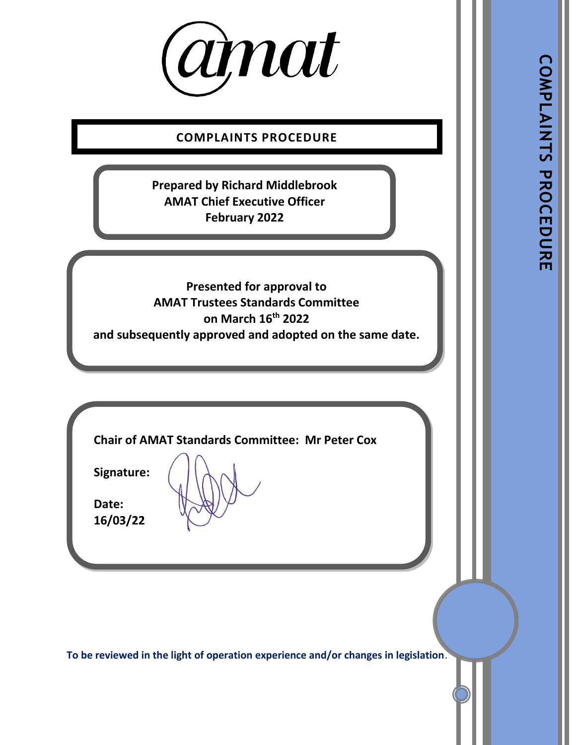

**COMPLAINTS PROCEDURE**

**Prepared by Richard Middlebrook AMAT Chief Executive Officer February 2022**

**Presented for approval to AMAT Trustees Standards Committee on March 16 th 2022 and subsequently approved and adopted on the same date.**

**Chair of AMAT Standards Committee: Mr Peter Cox**

**Signature:** 

**Date: 16/03/22**

**To be reviewed in the light of operation experience and/or changes in legislation**.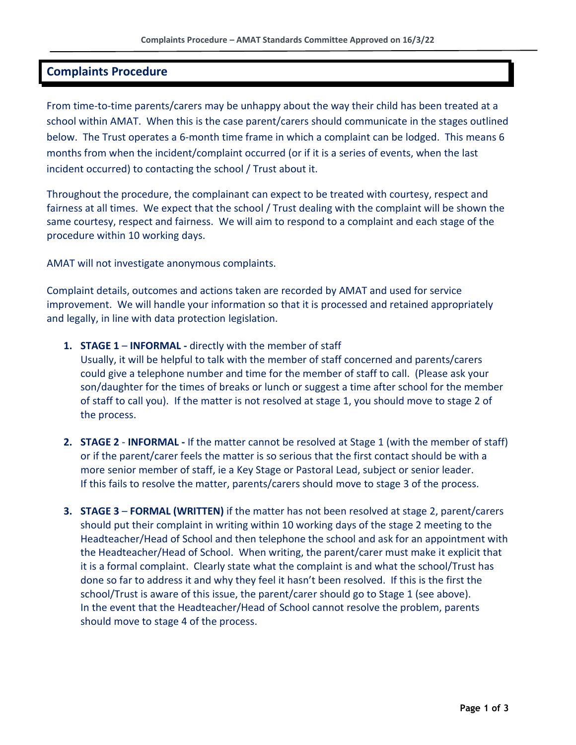### **Complaints Procedure**

From time-to-time parents/carers may be unhappy about the way their child has been treated at a school within AMAT. When this is the case parent/carers should communicate in the stages outlined below. The Trust operates a 6-month time frame in which a complaint can be lodged. This means 6 months from when the incident/complaint occurred (or if it is a series of events, when the last incident occurred) to contacting the school / Trust about it.

Throughout the procedure, the complainant can expect to be treated with courtesy, respect and fairness at all times. We expect that the school / Trust dealing with the complaint will be shown the same courtesy, respect and fairness. We will aim to respond to a complaint and each stage of the procedure within 10 working days.

AMAT will not investigate anonymous complaints.

Complaint details, outcomes and actions taken are recorded by AMAT and used for service improvement. We will handle your information so that it is processed and retained appropriately and legally, in line with data protection legislation.

- **1. STAGE 1 INFORMAL -** directly with the member of staff Usually, it will be helpful to talk with the member of staff concerned and parents/carers could give a telephone number and time for the member of staff to call. (Please ask your son/daughter for the times of breaks or lunch or suggest a time after school for the member of staff to call you). If the matter is not resolved at stage 1, you should move to stage 2 of the process.
- **2. STAGE 2 INFORMAL -** If the matter cannot be resolved at Stage 1 (with the member of staff) or if the parent/carer feels the matter is so serious that the first contact should be with a more senior member of staff, ie a Key Stage or Pastoral Lead, subject or senior leader. If this fails to resolve the matter, parents/carers should move to stage 3 of the process.
- **3. STAGE 3 FORMAL (WRITTEN)** if the matter has not been resolved at stage 2, parent/carers should put their complaint in writing within 10 working days of the stage 2 meeting to the Headteacher/Head of School and then telephone the school and ask for an appointment with the Headteacher/Head of School. When writing, the parent/carer must make it explicit that it is a formal complaint. Clearly state what the complaint is and what the school/Trust has done so far to address it and why they feel it hasn't been resolved. If this is the first the school/Trust is aware of this issue, the parent/carer should go to Stage 1 (see above). In the event that the Headteacher/Head of School cannot resolve the problem, parents should move to stage 4 of the process.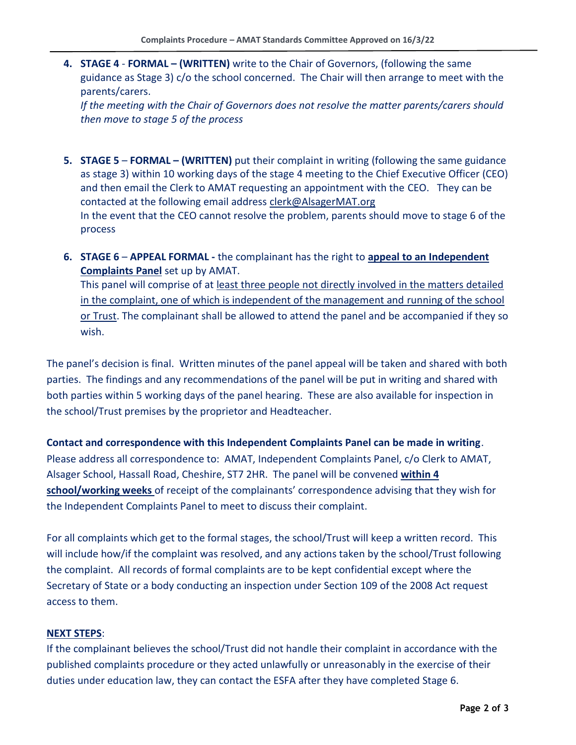**4. STAGE 4** - **FORMAL – (WRITTEN)** write to the Chair of Governors, (following the same guidance as Stage 3) c/o the school concerned. The Chair will then arrange to meet with the parents/carers.

*If the meeting with the Chair of Governors does not resolve the matter parents/carers should then move to stage 5 of the process*

- **5. STAGE 5 FORMAL – (WRITTEN)** put their complaint in writing (following the same guidance as stage 3) within 10 working days of the stage 4 meeting to the Chief Executive Officer (CEO) and then email the Clerk to AMAT requesting an appointment with the CEO. They can be contacted at the following email address [clerk@AlsagerMAT.org](mailto:clerk@AlsagerMAT.org) In the event that the CEO cannot resolve the problem, parents should move to stage 6 of the process
- **6. STAGE 6 APPEAL FORMAL -** the complainant has the right to **appeal to an Independent Complaints Panel** set up by AMAT. This panel will comprise of at least three people not directly involved in the matters detailed in the complaint, one of which is independent of the management and running of the school or Trust. The complainant shall be allowed to attend the panel and be accompanied if they so wish.

The panel's decision is final. Written minutes of the panel appeal will be taken and shared with both parties. The findings and any recommendations of the panel will be put in writing and shared with both parties within 5 working days of the panel hearing. These are also available for inspection in the school/Trust premises by the proprietor and Headteacher.

**Contact and correspondence with this Independent Complaints Panel can be made in writing**. Please address all correspondence to: AMAT, Independent Complaints Panel, c/o Clerk to AMAT, Alsager School, Hassall Road, Cheshire, ST7 2HR. The panel will be convened **within 4 school/working weeks** of receipt of the complainants' correspondence advising that they wish for the Independent Complaints Panel to meet to discuss their complaint.

For all complaints which get to the formal stages, the school/Trust will keep a written record. This will include how/if the complaint was resolved, and any actions taken by the school/Trust following the complaint. All records of formal complaints are to be kept confidential except where the Secretary of State or a body conducting an inspection under Section 109 of the 2008 Act request access to them.

#### **NEXT STEPS**:

If the complainant believes the school/Trust did not handle their complaint in accordance with the published complaints procedure or they acted unlawfully or unreasonably in the exercise of their duties under education law, they can contact the ESFA after they have completed Stage 6.